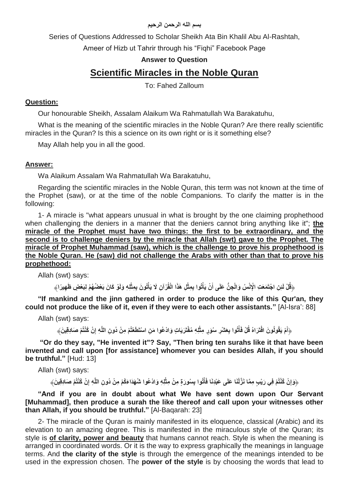#### **بسم الله الرحمن الرحيم**

Series of Questions Addressed to Scholar Sheikh Ata Bin Khalil Abu Al-Rashtah,

Ameer of Hizb ut Tahrir through his "Fiqhi" Facebook Page

## **Answer to Question**

# **Scientific Miracles in the Noble Quran**

To: Fahed Zalloum

### **Question:**

Our honourable Sheikh, Assalam Alaikum Wa Rahmatullah Wa Barakatuhu,

What is the meaning of the scientific miracles in the Noble Quran? Are there really scientific miracles in the Quran? Is this a science on its own right or is it something else?

May Allah help you in all the good.

#### **Answer:**

Wa Alaikum Assalam Wa Rahmatullah Wa Barakatuhu,

Regarding the scientific miracles in the Noble Quran, this term was not known at the time of the Prophet (saw), or at the time of the noble Companions. To clarify the matter is in the following:

1- A miracle is "what appears unusual in what is brought by the one claiming prophethood when challenging the deniers in a manner that the deniers cannot bring anything like it"; **the miracle of the Prophet must have two things: the first to be extraordinary, and the second is to challenge deniers by the miracle that Allah (swt) gave to the Prophet. The miracle of Prophet Muhammad (saw), which is the challenge to prove his prophethood is the Noble Quran. He (saw) did not challenge the Arabs with other than that to prove his prophethood:**

Allah (swt) says:

﴿قُلْ لَئِنِ اجْتَمَعَتِ الْإِنْسُ وَالْجِنُّ عَلَى أَنْ يَأْتُوا بِمِثْلِ هَذَا الْقُرْآنِ لَا يَأْتُونَ بِمِثْلِهِ وَلَوْ كَانَ بَعْضُهُمْ لِبَعْضٍ ظَهِيرًا﴾ **ْ ْ َ**

**"If mankind and the jinn gathered in order to produce the like of this Qur'an, they could not produce the like of it, even if they were to each other assistants."** [Al-Isra': 88]

Allah (swt) says:

﴿أَمْ يَقُولُونَ افْتَرَاهُ قُلْ فَأْتُوا بِعَثْسٍ سُوَرٍ مِثْلِهِ مُفْتَرَيَاتٍ وَادْعُوا مَنِ اسْتَطَعْتُمْ مِنْ دُونِ اللَّهِ إِنْ كُنْتُمْ صَادِقِينَ﴾ **ِ ْ ْ َ**

**"Or do they say, "He invented it"? Say, "Then bring ten surahs like it that have been invented and call upon [for assistance] whomever you can besides Allah, if you should be truthful."** [Hud: 13]

Allah (swt) says:

﴿وَإِنْ كُنْتُمْ فِي رَيْبٍ مِمَّا نَزَّلْنَا عَلَى عَبْدِنَا فَأَتُوا بِسُورَةٍ مِنْ مِثْلِهِ وَادْعُوا شُهَدَاءَكُمْ مِنْ دُونِ اللَّهِ إِنْ كُنْتُمْ صَادِقِينَ﴾ **ِ ْ ِ**

**"And if you are in doubt about what We have sent down upon Our Servant [Muhammad], then produce a surah the like thereof and call upon your witnesses other than Allah, if you should be truthful."** [Al-Baqarah: 23]

2- The miracle of the Quran is mainly manifested in its eloquence, classical (Arabic) and its elevation to an amazing degree. This is manifested in the miraculous style of the Quran; its style is **of clarity, power and beauty** that humans cannot reach. Style is when the meaning is arranged in coordinated words. Or it is the way to express graphically the meanings in language terms. And **the clarity of the style** is through the emergence of the meanings intended to be used in the expression chosen. The **power of the style** is by choosing the words that lead to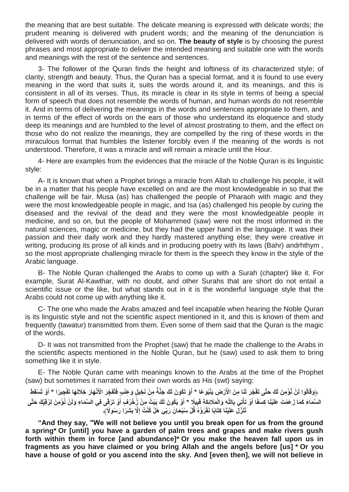the meaning that are best suitable. The delicate meaning is expressed with delicate words; the prudent meaning is delivered with prudent words; and the meaning of the denunciation is delivered with words of denunciation, and so on. **The beauty of style** is by choosing the purest phrases and most appropriate to deliver the intended meaning and suitable one with the words and meanings with the rest of the sentence and sentences.

3- The follower of the Quran finds the height and loftiness of its characterized style; of clarity, strength and beauty. Thus, the Quran has a special format, and it is found to use every meaning in the word that suits it, suits the words around it, and its meanings, and this is consistent in all of its verses. Thus, its miracle is clear in its style in terms of being a special form of speech that does not resemble the words of human, and human words do not resemble it. And in terms of delivering the meanings in the words and sentences appropriate to them, and in terms of the effect of words on the ears of those who understand its eloquence and study deep its meanings and are humbled to the level of almost prostrating to them, and the effect on those who do not realize the meanings, they are compelled by the ring of these words in the miraculous format that humbles the listener forcibly even if the meaning of the words is not understood. Therefore, it was a miracle and will remain a miracle until the Hour.

4- Here are examples from the evidences that the miracle of the Noble Quran is its linguistic style:

A- It is known that when a Prophet brings a miracle from Allah to challenge his people, it will be in a matter that his people have excelled on and are the most knowledgeable in so that the challenge will be fair. Musa (as) has challenged the people of Pharaoh with magic and they were the most knowledgeable people in magic, and Isa (as) challenged his people by curing the diseased and the revival of the dead and they were the most knowledgeable people in medicine, and so on, but the people of Mohammed (saw) were not the most informed in the natural sciences, magic or medicine, but they had the upper hand in the language. It was their passion and their daily work and they hardly mastered anything else; they were creative in writing, producing its prose of all kinds and in producing poetry with its laws (Bahr) andrhthym , so the most appropriate challenging miracle for them is the speech they know in the style of the Arabic language.

B- The Noble Quran challenged the Arabs to come up with a Surah (chapter) like it. For example, Surat Al-Kawthar, with no doubt, and other Surahs that are short do not entail a scientific issue or the like, but what stands out in it is the wonderful language style that the Arabs could not come up with anything like it.

C- The one who made the Arabs amazed and feel incapable when hearing the Noble Quran is its linguistic style and not the scientific aspect mentioned in it, and this is known of them and frequently (tawatur) transmitted from them. Even some of them said that the Quran is the magic of the words.

D- It was not transmitted from the Prophet (saw) that he made the challenge to the Arabs in the scientific aspects mentioned in the Noble Quran, but he (saw) used to ask them to bring something like it in style.

E- The Noble Quran came with meanings known to the Arabs at the time of the Prophet (saw) but sometimes it narrated from their own words as His (swt) saying:

﴿وَقَالُوا لَنْ نُوْمِنَ لَكَ حَتَّى تَفْجُرَ لَنَا مِنَ الْأَرْضِ يَنْبُوعًا \* أَوْ تَكُونَ لَكَ جَنَّةً مِنْ نَخِيلٍ وَعِنَبٍ فَتُفَجِّرَ الْأَنْهَارَ خِلَالَهَا تَفْجِيرًا \* أَوْ تُسْقِطَ **َ َ** السَّمَاءَ كَمَا زَعَمْتَ عَلَيْنَا كِسَفًا أَوْ تَأْتِيَ بِاللَّهِ وَالْمَلَائِكَةِ قَبِيلًا \* أَوْ يَكُونَ لَكَ بَيْتٌ مِنْ زُخْرُفٍ أَوْ تَرْفَى فِي السَّمَاءِ وَلَنْ نُوْمِنَ لِرُقِيَكَ حَتَّى **َ ْ َ َ** تُنَزِّلَ عَلَيْنَا كِتَابًا نَقْرَؤُهُ قُلْ سُبْحَانَ رَبِّي هَلْ كُنْتُ إِلَّا بَشَرَا رَسُولًا﴾

**"And they say, "We will not believe you until you break open for us from the ground a spring\* Or [until] you have a garden of palm trees and grapes and make rivers gush forth within them in force [and abundance]\* Or you make the heaven fall upon us in fragments as you have claimed or you bring Allah and the angels before [us] \* Or you have a house of gold or you ascend into the sky. And [even then], we will not believe in**